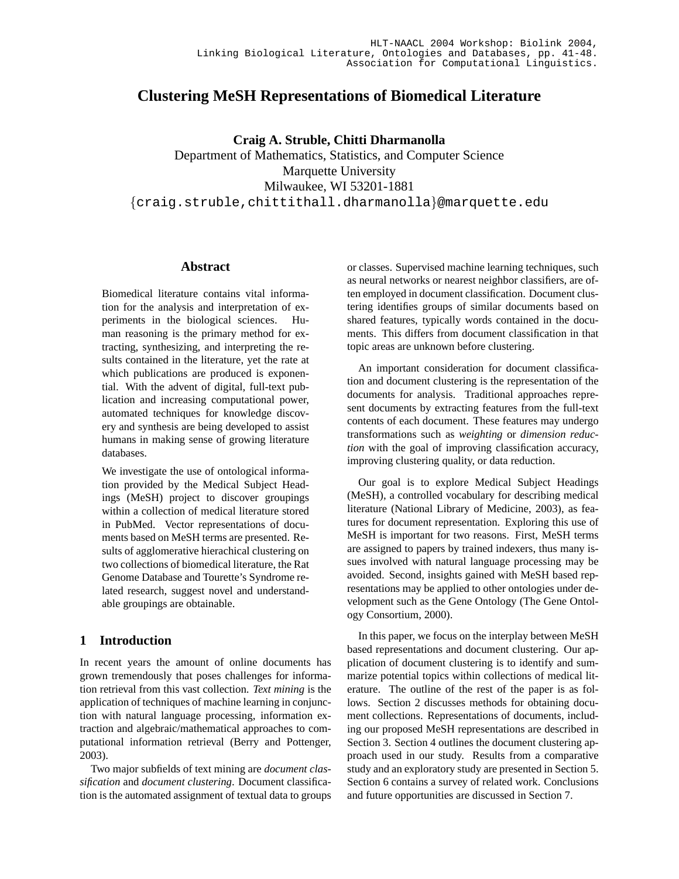# **Clustering MeSH Representations of Biomedical Literature**

**Craig A. Struble, Chitti Dharmanolla**

Department of Mathematics, Statistics, and Computer Science Marquette University Milwaukee, WI 53201-1881 {craig.struble,chittithall.dharmanolla}@marquette.edu

### **Abstract**

Biomedical literature contains vital information for the analysis and interpretation of experiments in the biological sciences. Human reasoning is the primary method for extracting, synthesizing, and interpreting the results contained in the literature, yet the rate at which publications are produced is exponential. With the advent of digital, full-text publication and increasing computational power, automated techniques for knowledge discovery and synthesis are being developed to assist humans in making sense of growing literature databases.

We investigate the use of ontological information provided by the Medical Subject Headings (MeSH) project to discover groupings within a collection of medical literature stored in PubMed. Vector representations of documents based on MeSH terms are presented. Results of agglomerative hierachical clustering on two collections of biomedical literature, the Rat Genome Database and Tourette's Syndrome related research, suggest novel and understandable groupings are obtainable.

## **1 Introduction**

In recent years the amount of online documents has grown tremendously that poses challenges for information retrieval from this vast collection. *Text mining* is the application of techniques of machine learning in conjunction with natural language processing, information extraction and algebraic/mathematical approaches to computational information retrieval (Berry and Pottenger, 2003).

Two major subfields of text mining are *document classification* and *document clustering*. Document classification is the automated assignment of textual data to groups or classes. Supervised machine learning techniques, such as neural networks or nearest neighbor classifiers, are often employed in document classification. Document clustering identifies groups of similar documents based on shared features, typically words contained in the documents. This differs from document classification in that topic areas are unknown before clustering.

An important consideration for document classification and document clustering is the representation of the documents for analysis. Traditional approaches represent documents by extracting features from the full-text contents of each document. These features may undergo transformations such as *weighting* or *dimension reduction* with the goal of improving classification accuracy, improving clustering quality, or data reduction.

Our goal is to explore Medical Subject Headings (MeSH), a controlled vocabulary for describing medical literature (National Library of Medicine, 2003), as features for document representation. Exploring this use of MeSH is important for two reasons. First, MeSH terms are assigned to papers by trained indexers, thus many issues involved with natural language processing may be avoided. Second, insights gained with MeSH based representations may be applied to other ontologies under development such as the Gene Ontology (The Gene Ontology Consortium, 2000).

In this paper, we focus on the interplay between MeSH based representations and document clustering. Our application of document clustering is to identify and summarize potential topics within collections of medical literature. The outline of the rest of the paper is as follows. Section 2 discusses methods for obtaining document collections. Representations of documents, including our proposed MeSH representations are described in Section 3. Section 4 outlines the document clustering approach used in our study. Results from a comparative study and an exploratory study are presented in Section 5. Section 6 contains a survey of related work. Conclusions and future opportunities are discussed in Section 7.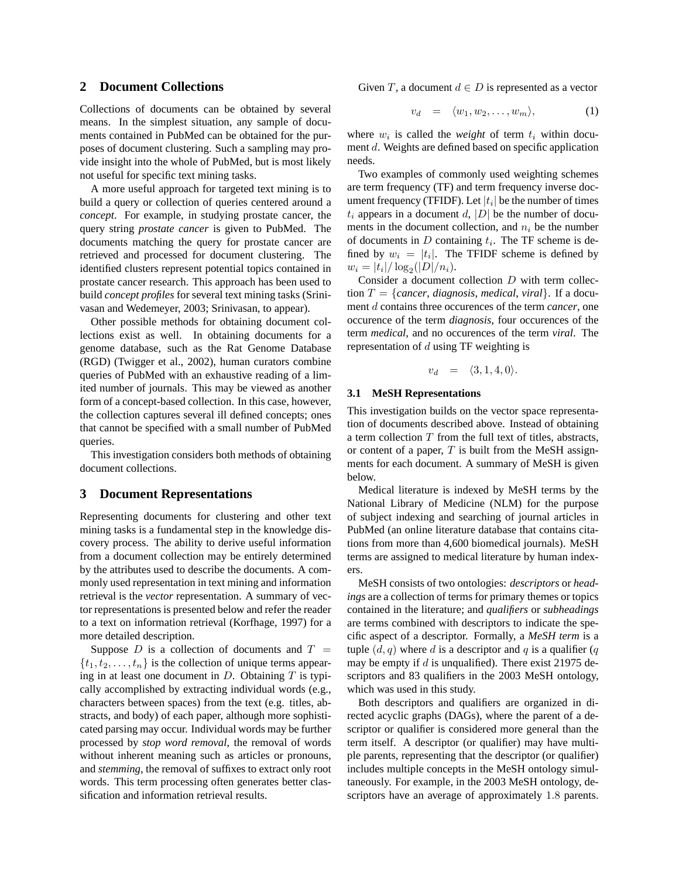### **2 Document Collections**

Collections of documents can be obtained by several means. In the simplest situation, any sample of documents contained in PubMed can be obtained for the purposes of document clustering. Such a sampling may provide insight into the whole of PubMed, but is most likely not useful for specific text mining tasks.

A more useful approach for targeted text mining is to build a query or collection of queries centered around a *concept*. For example, in studying prostate cancer, the query string *prostate cancer* is given to PubMed. The documents matching the query for prostate cancer are retrieved and processed for document clustering. The identified clusters represent potential topics contained in prostate cancer research. This approach has been used to build *concept profiles* for several text mining tasks (Srinivasan and Wedemeyer, 2003; Srinivasan, to appear).

Other possible methods for obtaining document collections exist as well. In obtaining documents for a genome database, such as the Rat Genome Database (RGD) (Twigger et al., 2002), human curators combine queries of PubMed with an exhaustive reading of a limited number of journals. This may be viewed as another form of a concept-based collection. In this case, however, the collection captures several ill defined concepts; ones that cannot be specified with a small number of PubMed queries.

This investigation considers both methods of obtaining document collections.

#### **3 Document Representations**

Representing documents for clustering and other text mining tasks is a fundamental step in the knowledge discovery process. The ability to derive useful information from a document collection may be entirely determined by the attributes used to describe the documents. A commonly used representation in text mining and information retrieval is the *vector* representation. A summary of vector representations is presented below and refer the reader to a text on information retrieval (Korfhage, 1997) for a more detailed description.

Suppose D is a collection of documents and  $T =$  $\{t_1, t_2, \ldots, t_n\}$  is the collection of unique terms appearing in at least one document in  $D$ . Obtaining  $T$  is typically accomplished by extracting individual words (e.g., characters between spaces) from the text (e.g. titles, abstracts, and body) of each paper, although more sophisticated parsing may occur. Individual words may be further processed by *stop word removal*, the removal of words without inherent meaning such as articles or pronouns, and *stemming*, the removal of suffixes to extract only root words. This term processing often generates better classification and information retrieval results.

Given T, a document  $d \in D$  is represented as a vector

$$
v_d = \langle w_1, w_2, \dots, w_m \rangle, \tag{1}
$$

where  $w_i$  is called the *weight* of term  $t_i$  within document d. Weights are defined based on specific application needs.

Two examples of commonly used weighting schemes are term frequency (TF) and term frequency inverse document frequency (TFIDF). Let  $|t_i|$  be the number of times  $t_i$  appears in a document d, |D| be the number of documents in the document collection, and  $n_i$  be the number of documents in  $D$  containing  $t_i$ . The TF scheme is defined by  $w_i = |t_i|$ . The TFIDF scheme is defined by  $w_i = |t_i| / \log_2(|D|/n_i).$ 

Consider a document collection D with term collection  $T = \{cancer, diagnosis, medical, viral\}$ . If a document d contains three occurences of the term *cancer*, one occurence of the term *diagnosis*, four occurences of the term *medical*, and no occurences of the term *viral*. The representation of  $d$  using TF weighting is

$$
v_d = \langle 3, 1, 4, 0 \rangle.
$$

## **3.1 MeSH Representations**

This investigation builds on the vector space representation of documents described above. Instead of obtaining a term collection  $T$  from the full text of titles, abstracts, or content of a paper,  $T$  is built from the MeSH assignments for each document. A summary of MeSH is given below.

Medical literature is indexed by MeSH terms by the National Library of Medicine (NLM) for the purpose of subject indexing and searching of journal articles in PubMed (an online literature database that contains citations from more than 4,600 biomedical journals). MeSH terms are assigned to medical literature by human indexers.

MeSH consists of two ontologies: *descriptors* or *headings* are a collection of terms for primary themes or topics contained in the literature; and *qualifiers* or *subheadings* are terms combined with descriptors to indicate the specific aspect of a descriptor. Formally, a *MeSH term* is a tuple  $(d, q)$  where d is a descriptor and q is a qualifier  $(q)$ may be empty if  $d$  is unqualified). There exist 21975 descriptors and 83 qualifiers in the 2003 MeSH ontology, which was used in this study.

Both descriptors and qualifiers are organized in directed acyclic graphs (DAGs), where the parent of a descriptor or qualifier is considered more general than the term itself. A descriptor (or qualifier) may have multiple parents, representing that the descriptor (or qualifier) includes multiple concepts in the MeSH ontology simultaneously. For example, in the 2003 MeSH ontology, descriptors have an average of approximately 1.8 parents.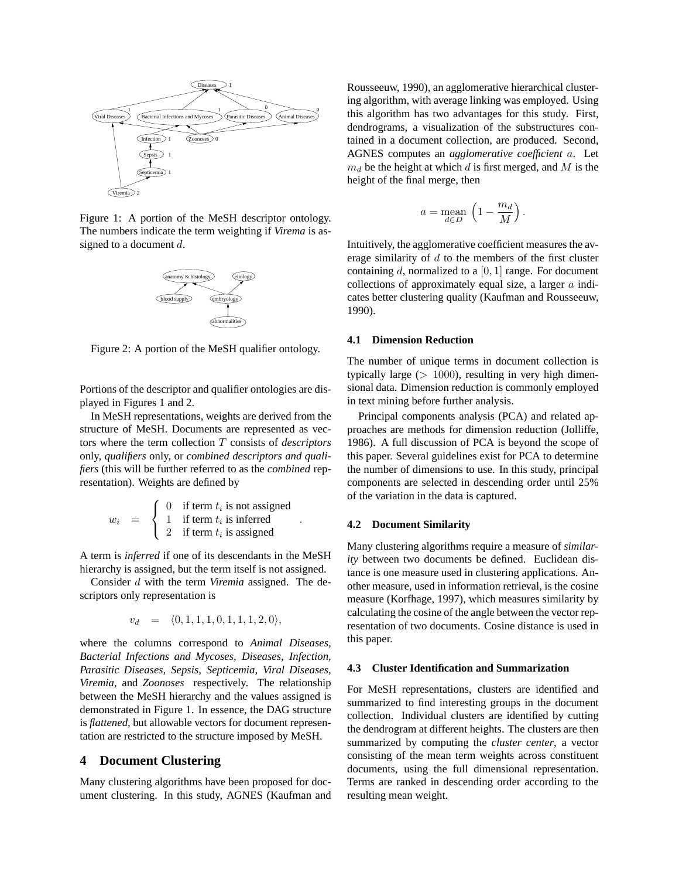

Figure 1: A portion of the MeSH descriptor ontology. The numbers indicate the term weighting if *Virema* is assigned to a document d.



Figure 2: A portion of the MeSH qualifier ontology.

Portions of the descriptor and qualifier ontologies are displayed in Figures 1 and 2.

In MeSH representations, weights are derived from the structure of MeSH. Documents are represented as vectors where the term collection T consists of *descriptors* only, *qualifiers* only, or *combined descriptors and qualifiers* (this will be further referred to as the *combined* representation). Weights are defined by

$$
w_i = \begin{cases} 0 & \text{if term } t_i \text{ is not assigned} \\ 1 & \text{if term } t_i \text{ is inferred} \\ 2 & \text{if term } t_i \text{ is assigned} \end{cases}
$$

.

A term is *inferred* if one of its descendants in the MeSH hierarchy is assigned, but the term itself is not assigned.

Consider d with the term *Viremia* assigned. The descriptors only representation is

$$
v_d = \langle 0, 1, 1, 1, 0, 1, 1, 1, 2, 0 \rangle,
$$

where the columns correspond to *Animal Diseases, Bacterial Infections and Mycoses, Diseases, Infection, Parasitic Diseases, Sepsis, Septicemia, Viral Diseases, Viremia,* and *Zoonoses* respectively. The relationship between the MeSH hierarchy and the values assigned is demonstrated in Figure 1. In essence, the DAG structure is *flattened*, but allowable vectors for document representation are restricted to the structure imposed by MeSH.

### **4 Document Clustering**

Many clustering algorithms have been proposed for document clustering. In this study, AGNES (Kaufman and Rousseeuw, 1990), an agglomerative hierarchical clustering algorithm, with average linking was employed. Using this algorithm has two advantages for this study. First, dendrograms, a visualization of the substructures contained in a document collection, are produced. Second, AGNES computes an *agglomerative coefficient* a. Let  $m_d$  be the height at which d is first merged, and M is the height of the final merge, then

$$
a = \operatorname*{mean}_{d \in D} \left( 1 - \frac{m_d}{M} \right)
$$

.

Intuitively, the agglomerative coefficient measures the average similarity of  $d$  to the members of the first cluster containing d, normalized to a  $[0, 1]$  range. For document collections of approximately equal size, a larger a indicates better clustering quality (Kaufman and Rousseeuw, 1990).

#### **4.1 Dimension Reduction**

The number of unique terms in document collection is typically large  $(> 1000)$ , resulting in very high dimensional data. Dimension reduction is commonly employed in text mining before further analysis.

Principal components analysis (PCA) and related approaches are methods for dimension reduction (Jolliffe, 1986). A full discussion of PCA is beyond the scope of this paper. Several guidelines exist for PCA to determine the number of dimensions to use. In this study, principal components are selected in descending order until 25% of the variation in the data is captured.

#### **4.2 Document Similarity**

Many clustering algorithms require a measure of *similarity* between two documents be defined. Euclidean distance is one measure used in clustering applications. Another measure, used in information retrieval, is the cosine measure (Korfhage, 1997), which measures similarity by calculating the cosine of the angle between the vector representation of two documents. Cosine distance is used in this paper.

#### **4.3 Cluster Identification and Summarization**

For MeSH representations, clusters are identified and summarized to find interesting groups in the document collection. Individual clusters are identified by cutting the dendrogram at different heights. The clusters are then summarized by computing the *cluster center*, a vector consisting of the mean term weights across constituent documents, using the full dimensional representation. Terms are ranked in descending order according to the resulting mean weight.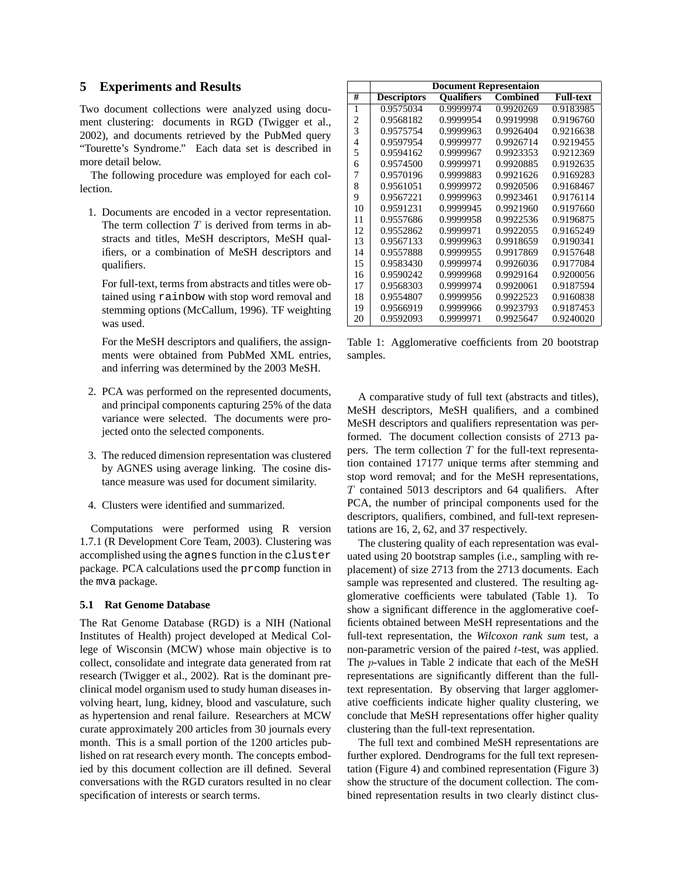### **5 Experiments and Results**

Two document collections were analyzed using document clustering: documents in RGD (Twigger et al., 2002), and documents retrieved by the PubMed query "Tourette's Syndrome." Each data set is described in more detail below.

The following procedure was employed for each collection.

1. Documents are encoded in a vector representation. The term collection  $T$  is derived from terms in abstracts and titles, MeSH descriptors, MeSH qualifiers, or a combination of MeSH descriptors and qualifiers.

For full-text, terms from abstracts and titles were obtained using rainbow with stop word removal and stemming options (McCallum, 1996). TF weighting was used.

For the MeSH descriptors and qualifiers, the assignments were obtained from PubMed XML entries, and inferring was determined by the 2003 MeSH.

- 2. PCA was performed on the represented documents, and principal components capturing 25% of the data variance were selected. The documents were projected onto the selected components.
- 3. The reduced dimension representation was clustered by AGNES using average linking. The cosine distance measure was used for document similarity.
- 4. Clusters were identified and summarized.

Computations were performed using R version 1.7.1 (R Development Core Team, 2003). Clustering was accomplished using the agnes function in the cluster package. PCA calculations used the prcomp function in the mva package.

#### **5.1 Rat Genome Database**

The Rat Genome Database (RGD) is a NIH (National Institutes of Health) project developed at Medical College of Wisconsin (MCW) whose main objective is to collect, consolidate and integrate data generated from rat research (Twigger et al., 2002). Rat is the dominant preclinical model organism used to study human diseases involving heart, lung, kidney, blood and vasculature, such as hypertension and renal failure. Researchers at MCW curate approximately 200 articles from 30 journals every month. This is a small portion of the 1200 articles published on rat research every month. The concepts embodied by this document collection are ill defined. Several conversations with the RGD curators resulted in no clear specification of interests or search terms.

|    | <b>Document Representaion</b> |                   |                 |                  |  |
|----|-------------------------------|-------------------|-----------------|------------------|--|
| #  | <b>Descriptors</b>            | <b>Oualifiers</b> | <b>Combined</b> | <b>Full-text</b> |  |
| 1  | 0.9575034                     | 0.9999974         | 0.9920269       | 0.9183985        |  |
| 2  | 0.9568182                     | 0.9999954         | 0.9919998       | 0.9196760        |  |
| 3  | 0.9575754                     | 0.9999963         | 0.9926404       | 0.9216638        |  |
| 4  | 0.9597954                     | 0.9999977         | 0.9926714       | 0.9219455        |  |
| 5  | 0.9594162                     | 0.9999967         | 0.9923353       | 0.9212369        |  |
| 6  | 0.9574500                     | 0.9999971         | 0.9920885       | 0.9192635        |  |
| 7  | 0.9570196                     | 0.9999883         | 0.9921626       | 0.9169283        |  |
| 8  | 0.9561051                     | 0.9999972         | 0.9920506       | 0.9168467        |  |
| 9  | 0.9567221                     | 0.9999963         | 0.9923461       | 0.9176114        |  |
| 10 | 0.9591231                     | 0.9999945         | 0.9921960       | 0.9197660        |  |
| 11 | 0.9557686                     | 0.9999958         | 0.9922536       | 0.9196875        |  |
| 12 | 0.9552862                     | 0.9999971         | 0.9922055       | 0.9165249        |  |
| 13 | 0.9567133                     | 0.9999963         | 0.9918659       | 0.9190341        |  |
| 14 | 0.9557888                     | 0.9999955         | 0.9917869       | 0.9157648        |  |
| 15 | 0.9583430                     | 0.9999974         | 0.9926036       | 0.9177084        |  |
| 16 | 0.9590242                     | 0.9999968         | 0.9929164       | 0.9200056        |  |
| 17 | 0.9568303                     | 0.9999974         | 0.9920061       | 0.9187594        |  |
| 18 | 0.9554807                     | 0.9999956         | 0.9922523       | 0.9160838        |  |
| 19 | 0.9566919                     | 0.9999966         | 0.9923793       | 0.9187453        |  |
| 20 | 0.9592093                     | 0.9999971         | 0.9925647       | 0.9240020        |  |

Table 1: Agglomerative coefficients from 20 bootstrap samples.

A comparative study of full text (abstracts and titles), MeSH descriptors, MeSH qualifiers, and a combined MeSH descriptors and qualifiers representation was performed. The document collection consists of 2713 papers. The term collection  $T$  for the full-text representation contained 17177 unique terms after stemming and stop word removal; and for the MeSH representations, T contained 5013 descriptors and 64 qualifiers. After PCA, the number of principal components used for the descriptors, qualifiers, combined, and full-text representations are 16, 2, 62, and 37 respectively.

The clustering quality of each representation was evaluated using 20 bootstrap samples (i.e., sampling with replacement) of size 2713 from the 2713 documents. Each sample was represented and clustered. The resulting agglomerative coefficients were tabulated (Table 1). To show a significant difference in the agglomerative coefficients obtained between MeSH representations and the full-text representation, the *Wilcoxon rank sum* test, a non-parametric version of the paired  $t$ -test, was applied. The p-values in Table 2 indicate that each of the MeSH representations are significantly different than the fulltext representation. By observing that larger agglomerative coefficients indicate higher quality clustering, we conclude that MeSH representations offer higher quality clustering than the full-text representation.

The full text and combined MeSH representations are further explored. Dendrograms for the full text representation (Figure 4) and combined representation (Figure 3) show the structure of the document collection. The combined representation results in two clearly distinct clus-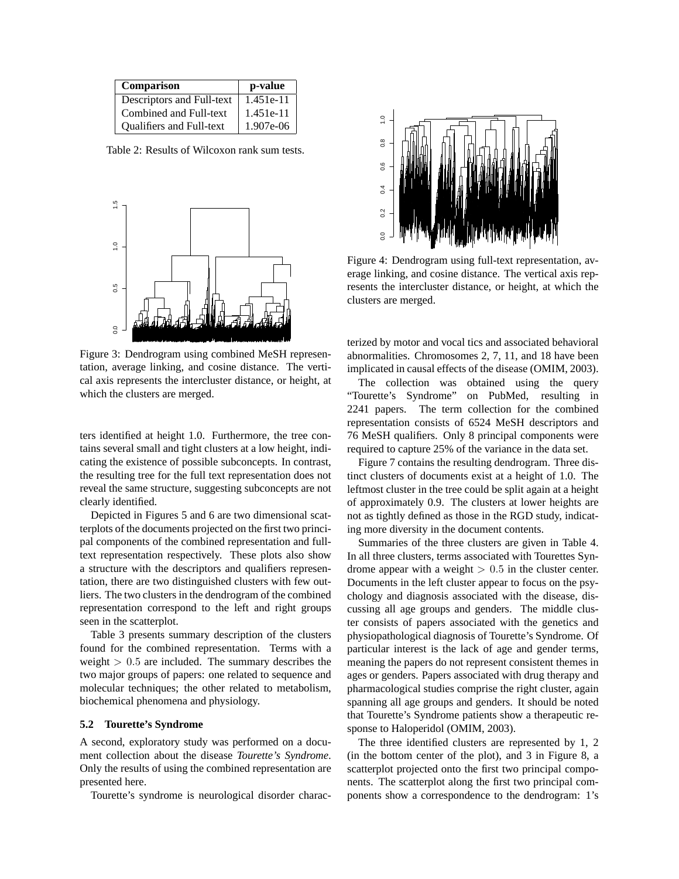| Comparison                      | p-value     |
|---------------------------------|-------------|
| Descriptors and Full-text       | 1.451e-11   |
| Combined and Full-text          | 1.451e-11   |
| <b>Oualifiers and Full-text</b> | $1.907e-06$ |

Table 2: Results of Wilcoxon rank sum tests.



Figure 3: Dendrogram using combined MeSH representation, average linking, and cosine distance. The vertical axis represents the intercluster distance, or height, at which the clusters are merged.

ters identified at height 1.0. Furthermore, the tree contains several small and tight clusters at a low height, indicating the existence of possible subconcepts. In contrast, the resulting tree for the full text representation does not reveal the same structure, suggesting subconcepts are not clearly identified.

Depicted in Figures 5 and 6 are two dimensional scatterplots of the documents projected on the first two principal components of the combined representation and fulltext representation respectively. These plots also show a structure with the descriptors and qualifiers representation, there are two distinguished clusters with few outliers. The two clusters in the dendrogram of the combined representation correspond to the left and right groups seen in the scatterplot.

Table 3 presents summary description of the clusters found for the combined representation. Terms with a weight  $> 0.5$  are included. The summary describes the two major groups of papers: one related to sequence and molecular techniques; the other related to metabolism, biochemical phenomena and physiology.

#### **5.2 Tourette's Syndrome**

A second, exploratory study was performed on a document collection about the disease *Tourette's Syndrome*. Only the results of using the combined representation are presented here.

Tourette's syndrome is neurological disorder charac-



Figure 4: Dendrogram using full-text representation, average linking, and cosine distance. The vertical axis represents the intercluster distance, or height, at which the clusters are merged.

terized by motor and vocal tics and associated behavioral abnormalities. Chromosomes 2, 7, 11, and 18 have been implicated in causal effects of the disease (OMIM, 2003).

The collection was obtained using the query "Tourette's Syndrome" on PubMed, resulting in 2241 papers. The term collection for the combined representation consists of 6524 MeSH descriptors and 76 MeSH qualifiers. Only 8 principal components were required to capture 25% of the variance in the data set.

Figure 7 contains the resulting dendrogram. Three distinct clusters of documents exist at a height of 1.0. The leftmost cluster in the tree could be split again at a height of approximately 0.9. The clusters at lower heights are not as tightly defined as those in the RGD study, indicating more diversity in the document contents.

Summaries of the three clusters are given in Table 4. In all three clusters, terms associated with Tourettes Syndrome appear with a weight  $> 0.5$  in the cluster center. Documents in the left cluster appear to focus on the psychology and diagnosis associated with the disease, discussing all age groups and genders. The middle cluster consists of papers associated with the genetics and physiopathological diagnosis of Tourette's Syndrome. Of particular interest is the lack of age and gender terms, meaning the papers do not represent consistent themes in ages or genders. Papers associated with drug therapy and pharmacological studies comprise the right cluster, again spanning all age groups and genders. It should be noted that Tourette's Syndrome patients show a therapeutic response to Haloperidol (OMIM, 2003).

The three identified clusters are represented by 1, 2 (in the bottom center of the plot), and 3 in Figure 8, a scatterplot projected onto the first two principal components. The scatterplot along the first two principal components show a correspondence to the dendrogram: 1's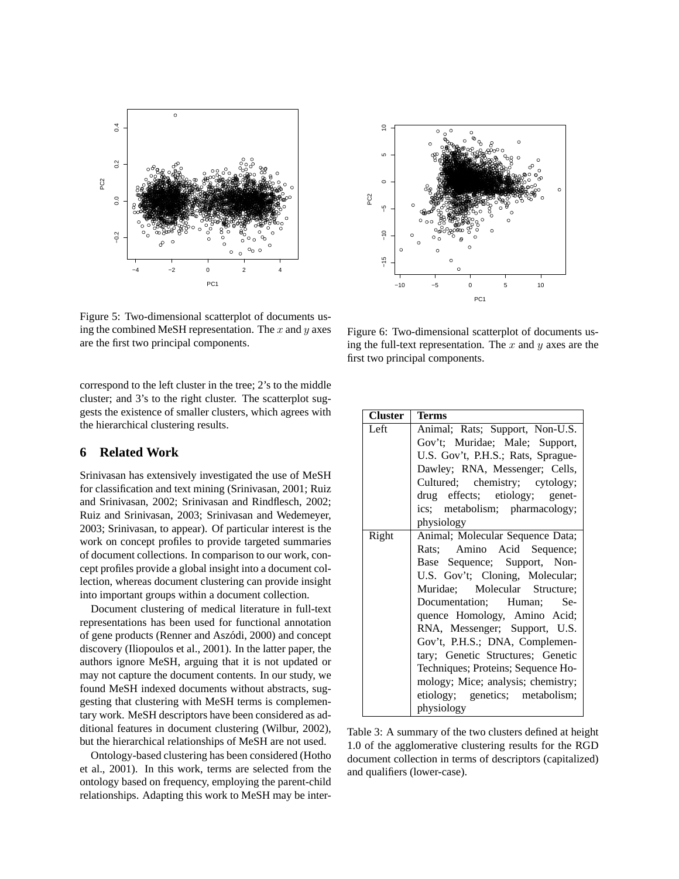



Figure 5: Two-dimensional scatterplot of documents using the combined MeSH representation. The  $x$  and  $y$  axes are the first two principal components.

correspond to the left cluster in the tree; 2's to the middle cluster; and 3's to the right cluster. The scatterplot suggests the existence of smaller clusters, which agrees with the hierarchical clustering results.

## **6 Related Work**

Srinivasan has extensively investigated the use of MeSH for classification and text mining (Srinivasan, 2001; Ruiz and Srinivasan, 2002; Srinivasan and Rindflesch, 2002; Ruiz and Srinivasan, 2003; Srinivasan and Wedemeyer, 2003; Srinivasan, to appear). Of particular interest is the work on concept profiles to provide targeted summaries of document collections. In comparison to our work, concept profiles provide a global insight into a document collection, whereas document clustering can provide insight into important groups within a document collection.

Document clustering of medical literature in full-text representations has been used for functional annotation of gene products (Renner and Aszodi, 2000) and concept ´ discovery (Iliopoulos et al., 2001). In the latter paper, the authors ignore MeSH, arguing that it is not updated or may not capture the document contents. In our study, we found MeSH indexed documents without abstracts, suggesting that clustering with MeSH terms is complementary work. MeSH descriptors have been considered as additional features in document clustering (Wilbur, 2002), but the hierarchical relationships of MeSH are not used.

Ontology-based clustering has been considered (Hotho et al., 2001). In this work, terms are selected from the ontology based on frequency, employing the parent-child relationships. Adapting this work to MeSH may be inter-

Figure 6: Two-dimensional scatterplot of documents using the full-text representation. The  $x$  and  $y$  axes are the first two principal components.

| <b>Cluster</b> | Terms                                                                                                                                                                                                                                                                                                                                                                                                                                                                   |
|----------------|-------------------------------------------------------------------------------------------------------------------------------------------------------------------------------------------------------------------------------------------------------------------------------------------------------------------------------------------------------------------------------------------------------------------------------------------------------------------------|
| Left           | Animal; Rats; Support, Non-U.S.<br>Gov't; Muridae; Male; Support,<br>U.S. Gov't, P.H.S.; Rats, Sprague-<br>Dawley; RNA, Messenger; Cells,<br>Cultured; chemistry; cytology;<br>drug effects; etiology; genet-<br>ics; metabolism; pharmacology;<br>physiology                                                                                                                                                                                                           |
| Right          | Animal; Molecular Sequence Data;<br>Rats; Amino Acid Sequence;<br>Base Sequence; Support, Non-<br>U.S. Gov't; Cloning, Molecular;<br>Muridae; Molecular Structure;<br>Documentation; Human;<br>Se-<br>quence Homology, Amino Acid;<br>RNA, Messenger; Support, U.S.<br>Gov't, P.H.S.; DNA, Complemen-<br>tary; Genetic Structures; Genetic<br>Techniques; Proteins; Sequence Ho-<br>mology; Mice; analysis; chemistry;<br>etiology; genetics; metabolism;<br>physiology |

Table 3: A summary of the two clusters defined at height 1.0 of the agglomerative clustering results for the RGD document collection in terms of descriptors (capitalized) and qualifiers (lower-case).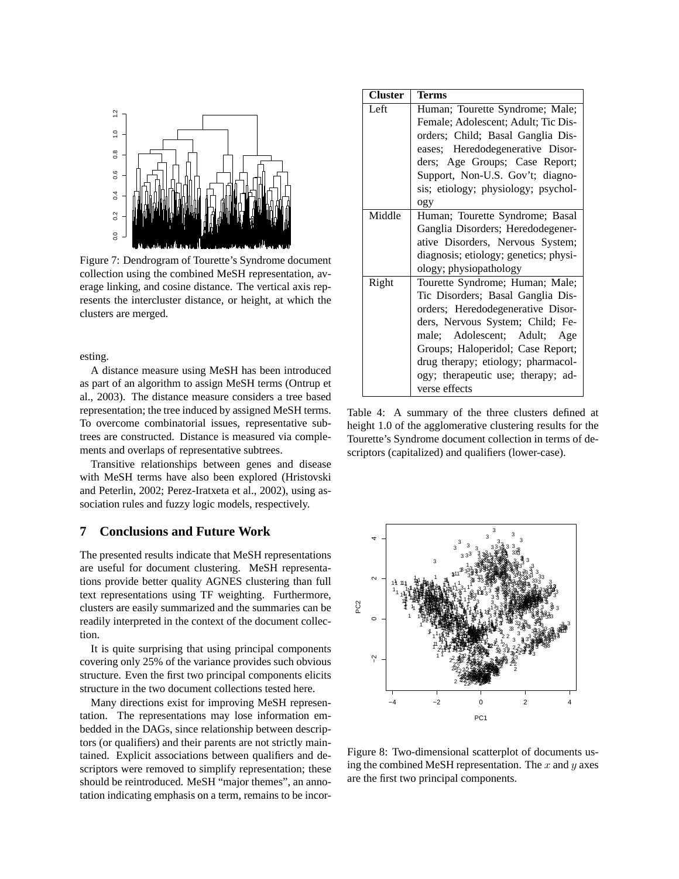

Figure 7: Dendrogram of Tourette's Syndrome document collection using the combined MeSH representation, average linking, and cosine distance. The vertical axis represents the intercluster distance, or height, at which the clusters are merged.

esting.

A distance measure using MeSH has been introduced as part of an algorithm to assign MeSH terms (Ontrup et al., 2003). The distance measure considers a tree based representation; the tree induced by assigned MeSH terms. To overcome combinatorial issues, representative subtrees are constructed. Distance is measured via complements and overlaps of representative subtrees.

Transitive relationships between genes and disease with MeSH terms have also been explored (Hristovski and Peterlin, 2002; Perez-Iratxeta et al., 2002), using association rules and fuzzy logic models, respectively.

## **7 Conclusions and Future Work**

The presented results indicate that MeSH representations are useful for document clustering. MeSH representations provide better quality AGNES clustering than full text representations using TF weighting. Furthermore, clusters are easily summarized and the summaries can be readily interpreted in the context of the document collection.

It is quite surprising that using principal components covering only 25% of the variance provides such obvious structure. Even the first two principal components elicits structure in the two document collections tested here.

Many directions exist for improving MeSH representation. The representations may lose information embedded in the DAGs, since relationship between descriptors (or qualifiers) and their parents are not strictly maintained. Explicit associations between qualifiers and descriptors were removed to simplify representation; these should be reintroduced. MeSH "major themes", an annotation indicating emphasis on a term, remains to be incor-

| <b>Cluster</b> | Terms                                                                                                                                                                                                                                                                                                           |
|----------------|-----------------------------------------------------------------------------------------------------------------------------------------------------------------------------------------------------------------------------------------------------------------------------------------------------------------|
| Left           | Human; Tourette Syndrome; Male;<br>Female; Adolescent; Adult; Tic Dis-<br>orders; Child; Basal Ganglia Dis-<br>eases; Heredodegenerative Disor-<br>ders; Age Groups; Case Report;<br>Support, Non-U.S. Gov't; diagno-<br>sis; etiology; physiology; psychol-<br>ogy                                             |
| Middle         | Human; Tourette Syndrome; Basal<br>Ganglia Disorders; Heredodegener-<br>ative Disorders, Nervous System;<br>diagnosis; etiology; genetics; physi-<br>ology; physiopathology                                                                                                                                     |
| Right          | Tourette Syndrome; Human; Male;<br>Tic Disorders; Basal Ganglia Dis-<br>orders; Heredodegenerative Disor-<br>ders, Nervous System; Child; Fe-<br>male; Adolescent; Adult; Age<br>Groups; Haloperidol; Case Report;<br>drug therapy; etiology; pharmacol-<br>ogy; therapeutic use; therapy; ad-<br>verse effects |

Table 4: A summary of the three clusters defined at height 1.0 of the agglomerative clustering results for the Tourette's Syndrome document collection in terms of descriptors (capitalized) and qualifiers (lower-case).



Figure 8: Two-dimensional scatterplot of documents using the combined MeSH representation. The x and y axes are the first two principal components.